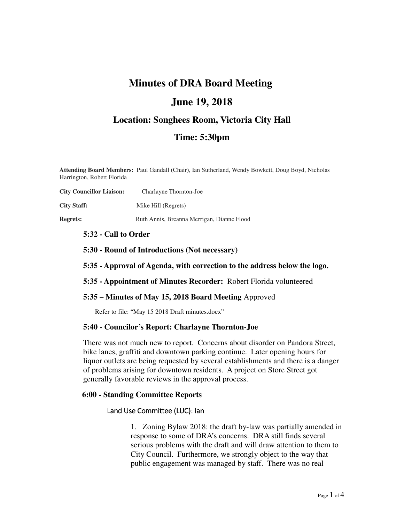## **Minutes of DRA Board Meeting**

## **June 19, 2018**

## **Location: Songhees Room, Victoria City Hall**

## **Time: 5:30pm**

**Attending Board Members:** Paul Gandall (Chair), Ian Sutherland, Wendy Bowkett, Doug Boyd, Nicholas Harrington, Robert Florida

| <b>City Councillor Liaison:</b> | Charlayne Thornton-Joe                     |
|---------------------------------|--------------------------------------------|
| <b>City Staff:</b>              | Mike Hill (Regrets)                        |
| <b>Regrets:</b>                 | Ruth Annis, Breanna Merrigan, Dianne Flood |

## **5:32 - Call to Order**

**5:30 - Round of Introductions (Not necessary)**

## **5:35 - Approval of Agenda, with correction to the address below the logo.**

**5:35 - Appointment of Minutes Recorder:** Robert Florida volunteered

## **5:35 – Minutes of May 15, 2018 Board Meeting** Approved

Refer to file: "May 15 2018 Draft minutes.docx"

## **5:40 - Councilor's Report: Charlayne Thornton-Joe**

There was not much new to report. Concerns about disorder on Pandora Street, bike lanes, graffiti and downtown parking continue. Later opening hours for liquor outlets are being requested by several establishments and there is a danger of problems arising for downtown residents. A project on Store Street got generally favorable reviews in the approval process.

## **6:00 - Standing Committee Reports**

## Land Use Committee (LUC): Ian

1. Zoning Bylaw 2018: the draft by-law was partially amended in response to some of DRA's concerns. DRA still finds several serious problems with the draft and will draw attention to them to City Council. Furthermore, we strongly object to the way that public engagement was managed by staff. There was no real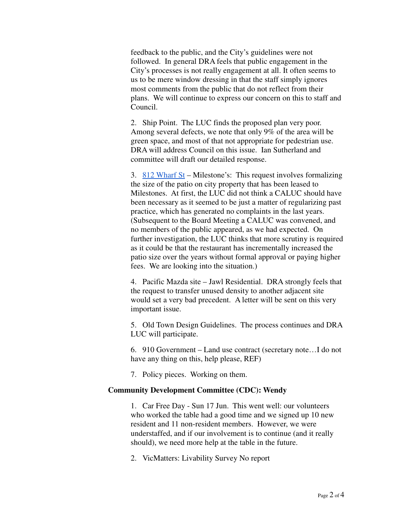feedback to the public, and the City's guidelines were not followed. In general DRA feels that public engagement in the City's processes is not really engagement at all. It often seems to us to be mere window dressing in that the staff simply ignores most comments from the public that do not reflect from their plans. We will continue to express our concern on this to staff and Council.

2. Ship Point. The LUC finds the proposed plan very poor. Among several defects, we note that only 9% of the area will be green space, and most of that not appropriate for pedestrian use. DRA will address Council on this issue. Ian Sutherland and committee will draft our detailed response.

3. 812 Wharf St – Milestone's: This request involves formalizing the size of the patio on city property that has been leased to Milestones. At first, the LUC did not think a CALUC should have been necessary as it seemed to be just a matter of regularizing past practice, which has generated no complaints in the last years. (Subsequent to the Board Meeting a CALUC was convened, and no members of the public appeared, as we had expected. On further investigation, the LUC thinks that more scrutiny is required as it could be that the restaurant has incrementally increased the patio size over the years without formal approval or paying higher fees. We are looking into the situation.)

4. Pacific Mazda site – Jawl Residential. DRA strongly feels that the request to transfer unused density to another adjacent site would set a very bad precedent. A letter will be sent on this very important issue.

5. Old Town Design Guidelines. The process continues and DRA LUC will participate.

6. 910 Government – Land use contract (secretary note…I do not have any thing on this, help please, REF)

7. Policy pieces. Working on them.

## **Community Development Committee (CDC): Wendy**

1. Car Free Day - Sun 17 Jun. This went well: our volunteers who worked the table had a good time and we signed up 10 new resident and 11 non-resident members. However, we were understaffed, and if our involvement is to continue (and it really should), we need more help at the table in the future.

2. VicMatters: Livability Survey No report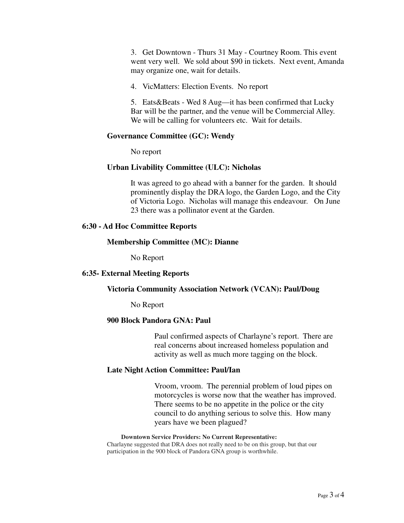3. Get Downtown - Thurs 31 May - Courtney Room. This event went very well. We sold about \$90 in tickets. Next event, Amanda may organize one, wait for details.

4. VicMatters: Election Events. No report

5. Eats&Beats - Wed 8 Aug—it has been confirmed that Lucky Bar will be the partner, and the venue will be Commercial Alley. We will be calling for volunteers etc. Wait for details.

## **Governance Committee (GC): Wendy**

No report

## **Urban Livability Committee (ULC): Nicholas**

It was agreed to go ahead with a banner for the garden. It should prominently display the DRA logo, the Garden Logo, and the City of Victoria Logo. Nicholas will manage this endeavour. On June 23 there was a pollinator event at the Garden.

## **6:30 - Ad Hoc Committee Reports**

## **Membership Committee (MC): Dianne**

No Report

## **6:35- External Meeting Reports**

#### **Victoria Community Association Network (VCAN): Paul/Doug**

No Report

## **900 Block Pandora GNA: Paul**

Paul confirmed aspects of Charlayne's report. There are real concerns about increased homeless population and activity as well as much more tagging on the block.

## **Late Night Action Committee: Paul/Ian**

Vroom, vroom. The perennial problem of loud pipes on motorcycles is worse now that the weather has improved. There seems to be no appetite in the police or the city council to do anything serious to solve this. How many years have we been plagued?

## **Downtown Service Providers: No Current Representative:**

Charlayne suggested that DRA does not really need to be on this group, but that our participation in the 900 block of Pandora GNA group is worthwhile.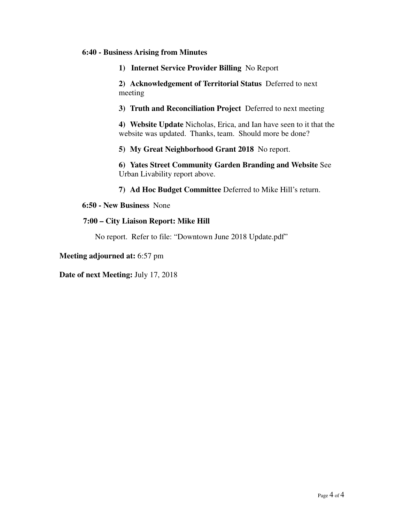## **6:40 - Business Arising from Minutes**

**1) Internet Service Provider Billing** No Report

**2) Acknowledgement of Territorial Status** Deferred to next meeting

**3) Truth and Reconciliation Project** Deferred to next meeting

**4) Website Update** Nicholas, Erica, and Ian have seen to it that the website was updated. Thanks, team. Should more be done?

**5) My Great Neighborhood Grant 2018** No report.

**6) Yates Street Community Garden Branding and Website** See Urban Livability report above.

**7) Ad Hoc Budget Committee** Deferred to Mike Hill's return.

**6:50 - New Business** None

## **7:00 – City Liaison Report: Mike Hill**

No report. Refer to file: "Downtown June 2018 Update.pdf"

**Meeting adjourned at:** 6:57 pm

**Date of next Meeting:** July 17, 2018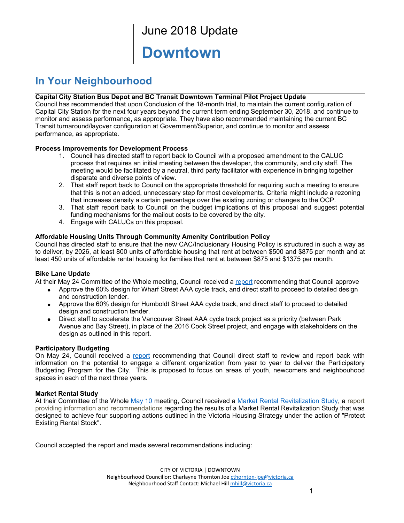## June 2018 Update

## **Downtown**

## **In Your Neighbourhood**

## **Capital City Station Bus Depot and BC Transit Downtown Terminal Pilot Project Update**

Council has recommended that upon Conclusion of the 18-month trial, to maintain the current configuration of Capital City Station for the next four years beyond the current term ending September 30, 2018, and continue to monitor and assess performance, as appropriate. They have also recommended maintaining the current BC Transit turnaround/layover configuration at Government/Superior, and continue to monitor and assess performance, as appropriate.

## **Process Improvements for Development Process**

- Council has directed staff to report back to Council with a proposed amendment to the CALUC 1. process that requires an initial meeting between the developer, the community, and city staff. The meeting would be facilitated by a neutral, third party facilitator with experience in bringing together disparate and diverse points of view.
- That staff report back to Council on the appropriate threshold for requiring such a meeting to ensure 2. that this is not an added, unnecessary step for most developments. Criteria might include a rezoning that increases density a certain percentage over the existing zoning or changes to the OCP.
- That staff report back to Council on the budget implications of this proposal and suggest potential 3. funding mechanisms for the mailout costs to be covered by the city.
- 4. Engage with CALUCs on this proposal.

## **Affordable Housing Units Through Community Amenity Contribution Policy**

Council has directed staff to ensure that the new CAC/Inclusionary Housing Policy is structured in such a way as to deliver, by 2026, at least 800 units of affordable housing that rent at between \$500 and \$875 per month and at least 450 units of affordable rental housing for families that rent at between \$875 and \$1375 per month.

## **Bike Lane Update**

At their May 24 Committee of the Whole meeting, Council received a report recommending that Council approve

- Approve the 60% design for Wharf Street AAA cycle track, and direct staff to proceed to detailed design and construction tender.
- Approve the 60% design for Humboldt Street AAA cycle track, and direct staff to proceed to detailed design and construction tender.
- Direct staff to accelerate the Vancouver Street AAA cycle track project as a priority (between Park Avenue and Bay Street), in place of the 2016 Cook Street project, and engage with stakeholders on the design as outlined in this report.

## **Participatory Budgeting**

On May 24, Council received a report recommending that Council direct staff to review and report back with information on the potential to engage a different organization from year to year to deliver the Participatory Budgeting Program for the City. This is proposed to focus on areas of youth, newcomers and neighbouhood spaces in each of the next three years.

## **Market Rental Study**

At their Committee of the Whole May 10 meeting, Council received a Market Rental Revitalization Study, a report providing information and recommendations regarding the results of a Market Rental Revitalization Study that was designed to achieve four supporting actions outlined in the Victoria Housing Strategy under the action of "Protect Existing Rental Stock".

Council accepted the report and made several recommendations including:

CITY OF VICTORIA | DOWNTOWN Neighbourhood Councillor: Charlayne Thornton Joe cthornton-joe@victoria.ca Neighbourhood Staff Contact: Michael Hill mhill@victoria.ca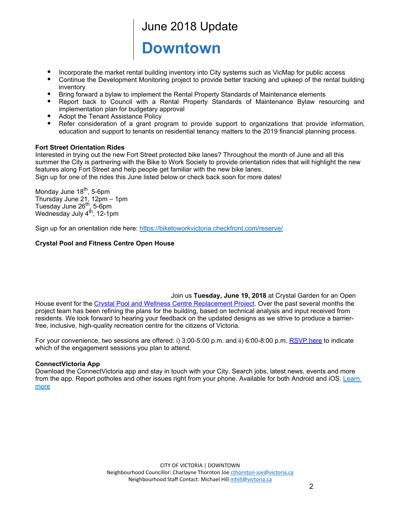## June 2018 Update

# **Downtown**

- Incorporate the market rental building inventory into City systems such as VicMap for public access
- Continue the Development Monitoring project to provide better tracking and upkeep of the rental building inventory
- Bring forward a bylaw to implement the Rental Property Standards of Maintenance elements
- Report back to Council with a Rental Property Standards of Maintenance Bylaw resourcing and implementation plan for budgetary approval
- Adopt the Tenant Assistance Policy
- Refer consideration of a grant program to provide support to organizations that provide information, education and support to tenants on residential tenancy matters to the 2019 financial planning process.

## **Fort Street Orientation Rides**

Interested in trying out the new Fort Street protected bike lanes? Throughout the month of June and all this summer the City is partnering with the Bike to Work Society to provide orientation rides that will highlight the new features along Fort Street and help people get familiar with the new bike lanes. Sign up for one of the rides this June listed below or check back soon for more dates!

Monday June 18<sup>th</sup>, 5-6pm Thursday June 21, 12pm – 1pm Tuesday June 26<sup>th</sup>, 5-6pm Wednesday July 4<sup>th</sup>, 12-1pm

Sign up for an orientation ride here: https://biketoworkvictoria.checkfront.com/reserve/

## **Crystal Pool and Fitness Centre Open House**

Join us **Tuesday, June 19, 2018** at Crystal Garden for an Open House event for the Crystal Pool and Wellness Centre Replacement Project. Over the past several months the project team has been refining the plans for the building, based on technical analysis and input received from residents. We look forward to hearing your feedback on the updated designs as we strive to produce a barrierfree, inclusive, high-quality recreation centre for the citizens of Victoria.

For your convenience, two sessions are offered: i) 3:00-5:00 p.m. and ii) 6:00-8:00 p.m. RSVP here to indicate which of the engagement sessions you plan to attend.

## **ConnectVictoria App**

Download the ConnectVictoria app and stay in touch with your City. Search jobs, latest news, events and more from the app. Report potholes and other issues right from your phone. Available for both Android and iOS. Learn more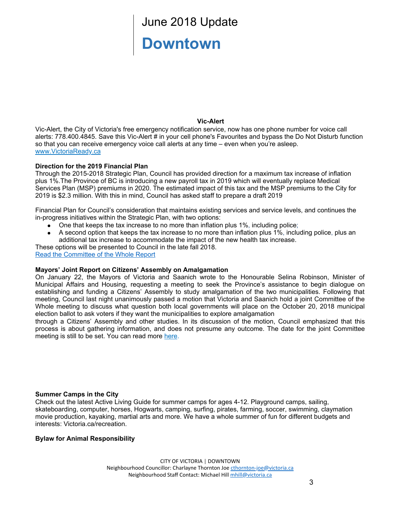## June 2018 Update **Downtown**

## **VicAlert**

VicAlert, the City of Victoria's free emergency notification service, now has one phone number for voice call alerts: 778.400.4845. Save this Vic-Alert # in your cell phone's Favourites and bypass the Do Not Disturb function so that you can receive emergency voice call alerts at any time – even when you're asleep. www.VictoriaReady.ca

## **Direction for the 2019 Financial Plan**

Through the 2015-2018 Strategic Plan, Council has provided direction for a maximum tax increase of inflation plus 1%.The Province of BC is introducing a new payroll tax in 2019 which will eventually replace Medical Services Plan (MSP) premiums in 2020. The estimated impact of this tax and the MSP premiums to the City for 2019 is \$2.3 million. With this in mind, Council has asked staff to prepare a draft 2019

Financial Plan for Council's consideration that maintains existing services and service levels, and continues the in-progress initiatives within the Strategic Plan, with two options:

- One that keeps the tax increase to no more than inflation plus 1%, including police;
- A second option that keeps the tax increase to no more than inflation plus 1%, including police, plus an  $\bullet$ additional tax increase to accommodate the impact of the new health tax increase.

These options will be presented to Council in the late fall 2018.

Read the Committee of the Whole Report

## **Mayors' Joint Report on Citizens' Assembly on Amalgamation**

On January 22, the Mayors of Victoria and Saanich wrote to the Honourable Selina Robinson, Minister of Municipal Affairs and Housing, requesting a meeting to seek the Province's assistance to begin dialogue on establishing and funding a Citizens' Assembly to study amalgamation of the two municipalities. Following that meeting, Council last night unanimously passed a motion that Victoria and Saanich hold a joint Committee of the Whole meeting to discuss what question both local governments will place on the October 20, 2018 municipal election ballot to ask voters if they want the municipalities to explore amalgamation

through a Citizens' Assembly and other studies. In its discussion of the motion, Council emphasized that this process is about gathering information, and does not presume any outcome. The date for the joint Committee meeting is still to be set. You can read more here.

## **Summer Camps in the City**

Check out the latest Active Living Guide for summer camps for ages 412. Playground camps, sailing, skateboarding, computer, horses, Hogwarts, camping, surfing, pirates, farming, soccer, swimming, claymation movie production, kayaking, martial arts and more. We have a whole summer of fun for different budgets and interests: Victoria.ca/recreation.

## **Bylaw for Animal Responsibility**